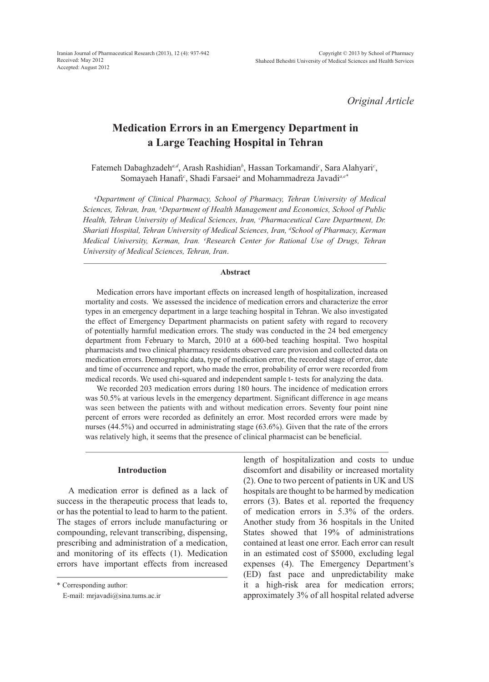*Original Article*

# **Medication Errors in an Emergency Department in a Large Teaching Hospital in Tehran**

Fatemeh Dabaghzadeh<sup>a,d</sup>, Arash Rashidian<sup>b</sup>, Hassan Torkamandi<sup>c</sup>, Sara Alahyari<sup>c</sup>, Somayaeh Hanafi<sup>c</sup>, Shadi Farsaei<sup>a</sup> and Mohammadreza Javadi<sup>a,e\*</sup>

a *Department of Clinical Pharmacy, School of Pharmacy, Tehran University of Medical Sciences, Tehran, Iran, b Department of Health Management and Economics, School of Public*  Health, Tehran University of Medical Sciences, Iran, <sup>c</sup>Pharmaceutical Care Department, Dr. *Shariati Hospital, Tehran University of Medical Sciences, Iran, d School of Pharmacy, Kerman Medical University, Kerman, Iran. <sup>e</sup> Research Center for Rational Use of Drugs, Tehran University of Medical Sciences, Tehran, Iran*.

# **Abstract**

Medication errors have important effects on increased length of hospitalization, increased mortality and costs. We assessed the incidence of medication errors and characterize the error types in an emergency department in a large teaching hospital in Tehran. We also investigated the effect of Emergency Department pharmacists on patient safety with regard to recovery of potentially harmful medication errors. The study was conducted in the 24 bed emergency department from February to March, 2010 at a 600-bed teaching hospital. Two hospital pharmacists and two clinical pharmacy residents observed care provision and collected data on medication errors. Demographic data, type of medication error, the recorded stage of error, date and time of occurrence and report, who made the error, probability of error were recorded from medical records. We used chi-squared and independent sample t- tests for analyzing the data.

We recorded 203 medication errors during 180 hours. The incidence of medication errors was 50.5% at various levels in the emergency department. Significant difference in age means was seen between the patients with and without medication errors. Seventy four point nine percent of errors were recorded as definitely an error. Most recorded errors were made by nurses (44.5%) and occurred in administrating stage (63.6%). Given that the rate of the errors was relatively high, it seems that the presence of clinical pharmacist can be beneficial.

#### **Introduction**

A medication error is defined as a lack of success in the therapeutic process that leads to, or has the potential to lead to harm to the patient. The stages of errors include manufacturing or compounding, relevant transcribing, dispensing, prescribing and administration of a medication, and monitoring of its effects (1). Medication errors have important effects from increased

\* Corresponding author:

E-mail: mrjavadi@sina.tums.ac.ir

length of hospitalization and costs to undue discomfort and disability or increased mortality (2). One to two percent of patients in UK and US hospitals are thought to be harmed by medication errors (3). Bates et al. reported the frequency of medication errors in 5.3% of the orders. Another study from 36 hospitals in the United States showed that 19% of administrations contained at least one error. Each error can result in an estimated cost of \$5000, excluding legal expenses (4). The Emergency Department's (ED) fast pace and unpredictability make it a high-risk area for medication errors; approximately 3% of all hospital related adverse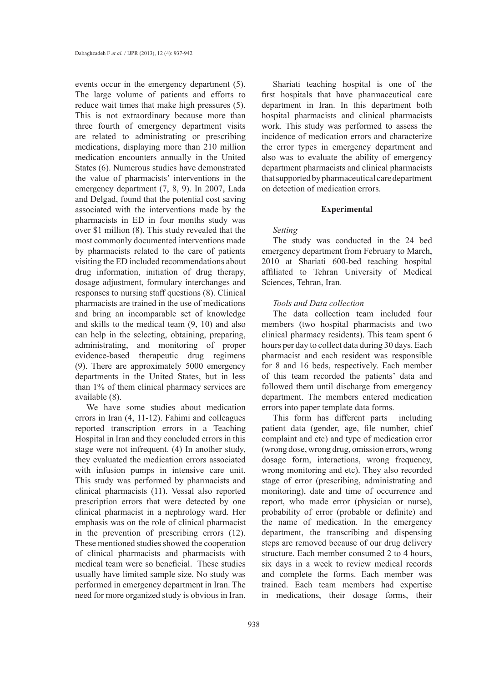events occur in the emergency department (5). The large volume of patients and efforts to reduce wait times that make high pressures (5). This is not extraordinary because more than three fourth of emergency department visits are related to administrating or prescribing medications, displaying more than 210 million medication encounters annually in the United States (6). Numerous studies have demonstrated the value of pharmacists' interventions in the emergency department (7, 8, 9). In 2007, Lada and Delgad, found that the potential cost saving associated with the interventions made by the pharmacists in ED in four months study was over \$1 million (8). This study revealed that the most commonly documented interventions made by pharmacists related to the care of patients visiting the ED included recommendations about drug information, initiation of drug therapy, dosage adjustment, formulary interchanges and responses to nursing staff questions (8). Clinical pharmacists are trained in the use of medications and bring an incomparable set of knowledge and skills to the medical team (9, 10) and also can help in the selecting, obtaining, preparing, administrating, and monitoring of proper evidence-based therapeutic drug regimens (9). There are approximately 5000 emergency departments in the United States, but in less than 1% of them clinical pharmacy services are available (8).

We have some studies about medication errors in Iran (4, 11-12). Fahimi and colleagues reported transcription errors in a Teaching Hospital in Iran and they concluded errors in this stage were not infrequent. (4) In another study, they evaluated the medication errors associated with infusion pumps in intensive care unit. This study was performed by pharmacists and clinical pharmacists (11). Vessal also reported prescription errors that were detected by one clinical pharmacist in a nephrology ward. Her emphasis was on the role of clinical pharmacist in the prevention of prescribing errors (12). These mentioned studies showed the cooperation of clinical pharmacists and pharmacists with medical team were so beneficial. These studies usually have limited sample size. No study was performed in emergency department in Iran. The need for more organized study is obvious in Iran.

Shariati teaching hospital is one of the first hospitals that have pharmaceutical care department in Iran. In this department both hospital pharmacists and clinical pharmacists work. This study was performed to assess the incidence of medication errors and characterize the error types in emergency department and also was to evaluate the ability of emergency department pharmacists and clinical pharmacists that supported by pharmaceutical care department on detection of medication errors.

### **Experimental**

# *Setting*

The study was conducted in the 24 bed emergency department from February to March, 2010 at Shariati 600-bed teaching hospital affiliated to Tehran University of Medical Sciences, Tehran, Iran.

### *Tools and Data collection*

The data collection team included four members (two hospital pharmacists and two clinical pharmacy residents). This team spent 6 hours per day to collect data during 30 days. Each pharmacist and each resident was responsible for 8 and 16 beds, respectively. Each member of this team recorded the patients' data and followed them until discharge from emergency department. The members entered medication errors into paper template data forms.

This form has different parts including patient data (gender, age, file number, chief complaint and etc) and type of medication error (wrong dose, wrong drug, omission errors, wrong dosage form, interactions, wrong frequency, wrong monitoring and etc). They also recorded stage of error (prescribing, administrating and monitoring), date and time of occurrence and report, who made error (physician or nurse), probability of error (probable or definite) and the name of medication. In the emergency department, the transcribing and dispensing steps are removed because of our drug delivery structure. Each member consumed 2 to 4 hours, six days in a week to review medical records and complete the forms. Each member was trained. Each team members had expertise in medications, their dosage forms, their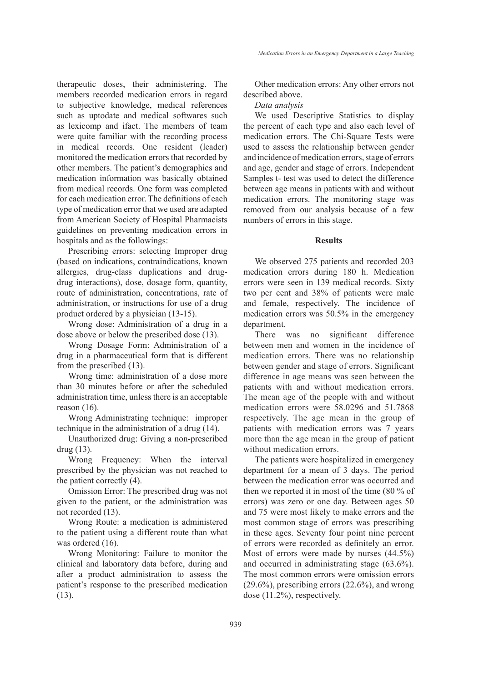therapeutic doses, their administering. The members recorded medication errors in regard to subjective knowledge, medical references such as uptodate and medical softwares such as lexicomp and ifact. The members of team were quite familiar with the recording process in medical records. One resident (leader) monitored the medication errors that recorded by other members. The patient's demographics and medication information was basically obtained from medical records. One form was completed for each medication error. The definitions of each type of medication error that we used are adapted from American Society of Hospital Pharmacists guidelines on preventing medication errors in hospitals and as the followings:

Prescribing errors: selecting Improper drug (based on indications, contraindications, known allergies, drug-class duplications and drugdrug interactions), dose, dosage form, quantity, route of administration, concentrations, rate of administration, or instructions for use of a drug product ordered by a physician (13-15).

Wrong dose: Administration of a drug in a dose above or below the prescribed dose (13).

Wrong Dosage Form: Administration of a drug in a pharmaceutical form that is different from the prescribed (13).

Wrong time: administration of a dose more than 30 minutes before or after the scheduled administration time, unless there is an acceptable reason (16).

Wrong Administrating technique: improper technique in the administration of a drug (14).

Unauthorized drug: Giving a non-prescribed drug (13).

Wrong Frequency: When the interval prescribed by the physician was not reached to the patient correctly (4).

Omission Error: The prescribed drug was not given to the patient, or the administration was not recorded (13).

Wrong Route: a medication is administered to the patient using a different route than what was ordered  $(16)$ .

Wrong Monitoring: Failure to monitor the clinical and laboratory data before, during and after a product administration to assess the patient's response to the prescribed medication (13).

Other medication errors: Any other errors not described above.

*Data analysis*

We used Descriptive Statistics to display the percent of each type and also each level of medication errors. The Chi-Square Tests were used to assess the relationship between gender and incidence of medication errors, stage of errors and age, gender and stage of errors. Independent Samples t- test was used to detect the difference between age means in patients with and without medication errors. The monitoring stage was removed from our analysis because of a few numbers of errors in this stage.

#### **Results**

We observed 275 patients and recorded 203 medication errors during 180 h. Medication errors were seen in 139 medical records. Sixty two per cent and 38% of patients were male and female, respectively. The incidence of medication errors was 50.5% in the emergency department.

There was no significant difference between men and women in the incidence of medication errors. There was no relationship between gender and stage of errors. Significant difference in age means was seen between the patients with and without medication errors. The mean age of the people with and without medication errors were 58.0296 and 51.7868 respectively. The age mean in the group of patients with medication errors was 7 years more than the age mean in the group of patient without medication errors.

The patients were hospitalized in emergency department for a mean of 3 days. The period between the medication error was occurred and then we reported it in most of the time (80 % of errors) was zero or one day. Between ages 50 and 75 were most likely to make errors and the most common stage of errors was prescribing in these ages. Seventy four point nine percent of errors were recorded as definitely an error. Most of errors were made by nurses (44.5%) and occurred in administrating stage (63.6%). The most common errors were omission errors (29.6%), prescribing errors (22.6%), and wrong dose (11.2%), respectively.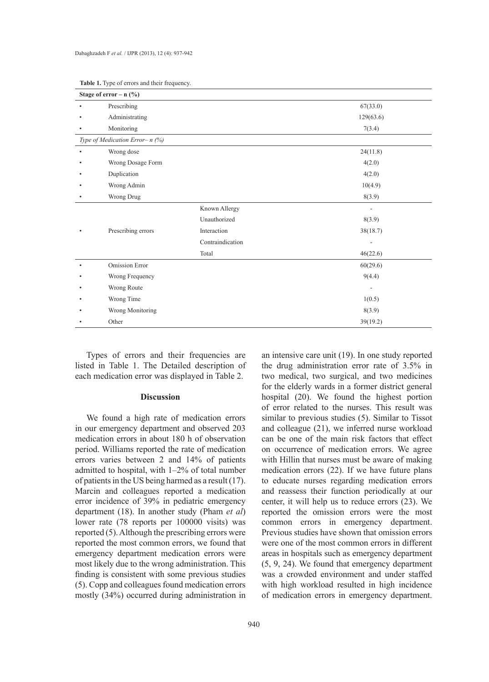| Stage of error – $n$ (%)          |                  |                          |
|-----------------------------------|------------------|--------------------------|
| Prescribing                       |                  | 67(33.0)                 |
| Administrating                    |                  | 129(63.6)                |
| Monitoring                        |                  | 7(3.4)                   |
| Type of Medication Error- $n$ (%) |                  |                          |
| Wrong dose                        |                  | 24(11.8)                 |
| Wrong Dosage Form                 |                  | 4(2.0)                   |
| Duplication                       |                  | 4(2.0)                   |
| Wrong Admin                       |                  | 10(4.9)                  |
| Wrong Drug                        |                  | 8(3.9)                   |
|                                   | Known Allergy    | $\overline{\phantom{a}}$ |
|                                   | Unauthorized     | 8(3.9)                   |
| Prescribing errors                | Interaction      | 38(18.7)                 |
|                                   | Contraindication |                          |
|                                   | Total            | 46(22.6)                 |
| Omission Error                    |                  | 60(29.6)                 |
| Wrong Frequency                   |                  | 9(4.4)                   |
| Wrong Route                       |                  | $\overline{\phantom{a}}$ |
| Wrong Time                        |                  | 1(0.5)                   |
| Wrong Monitoring                  |                  | 8(3.9)                   |
| Other                             |                  | 39(19.2)                 |

**Table 1.** Type of errors and their frequency.

Types of errors and their frequencies are listed in Table 1. The Detailed description of each medication error was displayed in Table 2.

# **Discussion**

We found a high rate of medication errors in our emergency department and observed 203 medication errors in about 180 h of observation period. Williams reported the rate of medication errors varies between 2 and 14% of patients admitted to hospital, with 1–2% of total number of patients in the US being harmed as a result (17). Marcin and colleagues reported a medication error incidence of 39% in pediatric emergency department (18). In another study (Pham *et al*) lower rate (78 reports per 100000 visits) was reported (5). Although the prescribing errors were reported the most common errors, we found that emergency department medication errors were most likely due to the wrong administration. This finding is consistent with some previous studies (5). Copp and colleagues found medication errors mostly (34%) occurred during administration in

an intensive care unit (19). In one study reported the drug administration error rate of 3.5% in two medical, two surgical, and two medicines for the elderly wards in a former district general hospital (20). We found the highest portion of error related to the nurses. This result was similar to previous studies (5). Similar to Tissot and colleague (21), we inferred nurse workload can be one of the main risk factors that effect on occurrence of medication errors. We agree with Hillin that nurses must be aware of making medication errors (22). If we have future plans to educate nurses regarding medication errors and reassess their function periodically at our center, it will help us to reduce errors (23). We reported the omission errors were the most common errors in emergency department. Previous studies have shown that omission errors were one of the most common errors in different areas in hospitals such as emergency department (5, 9, 24). We found that emergency department was a crowded environment and under staffed with high workload resulted in high incidence of medication errors in emergency department.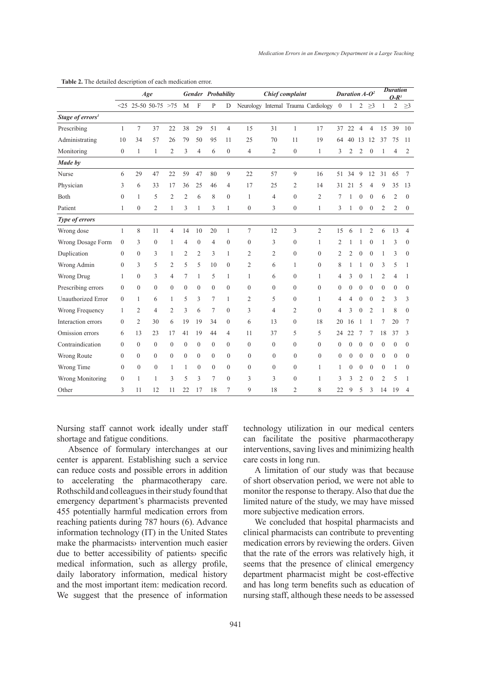|                              | Age              |                |                           | Gender Probability |                |                  |                  | Chief complaint  |                  |                |                  | Duration $A - O^2$                   |                |                |                | <b>Duration</b><br>$O-R^3$ |                  |                  |                  |
|------------------------------|------------------|----------------|---------------------------|--------------------|----------------|------------------|------------------|------------------|------------------|----------------|------------------|--------------------------------------|----------------|----------------|----------------|----------------------------|------------------|------------------|------------------|
|                              |                  |                | $< 25$ 25-50 50-75 $> 75$ |                    | M              | $\mathbf F$      | P                | D                |                  |                |                  | Neurology Internal Trauma Cardiology | $\overline{0}$ | $\mathbf{1}$   | $\overline{2}$ | $\geq$ 3                   | $\mathbf{1}$     | $\overline{c}$   | $\geq$ 3         |
| Stage of errors <sup>1</sup> |                  |                |                           |                    |                |                  |                  |                  |                  |                |                  |                                      |                |                |                |                            |                  |                  |                  |
| Prescribing                  | $\mathbf{1}$     | 7              | 37                        | 22                 | 38             | 29               | 51               | $\overline{4}$   | 15               | 31             | $\mathbf{1}$     | 17                                   | 37             | 22             | $\overline{4}$ | $\overline{4}$             | 15               | 39               | 10               |
| Administrating               | 10               | 34             | 57                        | 26                 | 79             | 50               | 95               | 11               | 25               | 70             | 11               | 19                                   | 64             | 40             | 13             | 12                         | 37               | 75               | 11               |
| Monitoring                   | $\boldsymbol{0}$ | 1              | $\mathbf{1}$              | $\overline{2}$     | 3              | $\overline{4}$   | 6                | $\boldsymbol{0}$ | 4                | $\overline{2}$ | $\boldsymbol{0}$ | $\mathbf{1}$                         | 3              | 2              | $\overline{2}$ | $\boldsymbol{0}$           | 1                | $\overline{4}$   | 2                |
| Made by                      |                  |                |                           |                    |                |                  |                  |                  |                  |                |                  |                                      |                |                |                |                            |                  |                  |                  |
| Nurse                        | 6                | 29             | 47                        | 22                 | 59             | 47               | 80               | 9                | 22               | 57             | 9                | 16                                   | 51             | 34             | 9              | 12                         | 31               | 65               | $\tau$           |
| Physician                    | 3                | 6              | 33                        | 17                 | 36             | 25               | 46               | $\overline{4}$   | 17               | 25             | $\overline{2}$   | 14                                   | 31             | 21             | 5              | $\overline{4}$             | 9                | 35               | 13               |
| Both                         | $\mathbf{0}$     | 1              | 5                         | $\overline{2}$     | $\overline{2}$ | 6                | 8                | $\overline{0}$   | $\mathbf{1}$     | $\overline{4}$ | $\boldsymbol{0}$ | $\overline{2}$                       | 7              | 1              | $\theta$       | $\mathbf{0}$               | 6                | $\overline{2}$   | $\mathbf{0}$     |
| Patient                      | 1                | $\theta$       | $\overline{2}$            | 1                  | 3              | 1                | 3                | 1                | $\boldsymbol{0}$ | 3              | $\boldsymbol{0}$ | 1                                    | 3              | 1              | $\theta$       | $\theta$                   | $\overline{2}$   | $\overline{2}$   | $\boldsymbol{0}$ |
| Type of errors               |                  |                |                           |                    |                |                  |                  |                  |                  |                |                  |                                      |                |                |                |                            |                  |                  |                  |
| Wrong dose                   | 1                | 8              | 11                        | 4                  | 14             | 10               | 20               | $\mathbf{1}$     | $\tau$           | 12             | 3                | $\overline{2}$                       | 15             | 6              | 1              | $\overline{2}$             | 6                | 13               | $\overline{4}$   |
| Wrong Dosage Form            | $\mathbf{0}$     | 3              | $\mathbf{0}$              | 1                  | 4              | $\mathbf{0}$     | $\overline{4}$   | $\mathbf{0}$     | $\boldsymbol{0}$ | 3              | $\mathbf{0}$     | $\mathbf{1}$                         | $\overline{2}$ |                | 1              | $\theta$                   | 1                | 3                | $\mathbf{0}$     |
| Duplication                  | $\theta$         | $\theta$       | 3                         | 1                  | $\overline{2}$ | $\overline{2}$   | 3                | $\mathbf{1}$     | $\overline{c}$   | $\overline{2}$ | $\mathbf{0}$     | $\Omega$                             | $\overline{c}$ | $\overline{2}$ | $\theta$       | $\theta$                   | 1                | 3                | $\Omega$         |
| Wrong Admin                  | $\theta$         | 3              | 5                         | 2                  | 5              | 5                | 10               | $\mathbf{0}$     | 2                | 6              | 1                | $\mathbf{0}$                         | 8              |                |                | $\overline{0}$             | 3                | 5                | 1                |
| Wrong Drug                   | 1                | $\mathbf{0}$   | 3                         | $\overline{4}$     | 7              | 1                | 5                | $\mathbf{1}$     | 1                | 6              | $\boldsymbol{0}$ | 1                                    | 4              | 3              | $\mathbf{0}$   | 1                          | $\overline{c}$   | $\overline{4}$   | 1                |
| Prescribing errors           | $\theta$         | $\theta$       | $\mathbf{0}$              | $\theta$           | $\theta$       | $\Omega$         | $\mathbf{0}$     | $\Omega$         | $\mathbf{0}$     | $\theta$       | $\mathbf{0}$     | $\theta$                             | $\theta$       | $\theta$       | $\Omega$       | $\theta$                   | $\theta$         | $\theta$         | $\Omega$         |
| <b>Unauthorized Error</b>    | $\Omega$         | 1              | 6                         | 1                  | 5              | 3                | 7                | 1                | 2                | 5              | $\theta$         | 1                                    | 4              | 4              | 0              | $\theta$                   | $\overline{2}$   | 3                | 3                |
| Wrong Frequency              | 1                | 2              | 4                         | $\overline{2}$     | 3              | 6                | 7                | $\boldsymbol{0}$ | 3                | $\overline{4}$ | $\overline{2}$   | $\overline{0}$                       | 4              | 3              | $\mathbf{0}$   | $\overline{2}$             | 1                | 8                | $\overline{0}$   |
| Interaction errors           | $\theta$         | $\overline{2}$ | 30                        | 6                  | 19             | 19               | 34               | $\mathbf{0}$     | 6                | 13             | $\mathbf{0}$     | 18                                   | 20             | 16             |                | 1                          | 7                | 20               | 7                |
| Omission errors              | 6                | 13             | 23                        | 17                 | 41             | 19               | 44               | 4                | 11               | 37             | 5                | 5                                    | 24             | 22             | 7              | 7                          | 18               | 37               | 3                |
| Contraindication             | $\theta$         | $\Omega$       | $\overline{0}$            | $\overline{0}$     | $\mathbf{0}$   | $\mathbf{0}$     | $\mathbf{0}$     | $\overline{0}$   | $\overline{0}$   | $\Omega$       | $\overline{0}$   | $\Omega$                             | $\theta$       | $\theta$       | $\mathbf{0}$   | $\theta$                   | $\theta$         | $\mathbf{0}$     | $\mathbf{0}$     |
| Wrong Route                  | $\theta$         | $\theta$       | $\boldsymbol{0}$          | $\boldsymbol{0}$   | $\mathbf{0}$   | $\boldsymbol{0}$ | $\boldsymbol{0}$ | $\mathbf{0}$     | $\boldsymbol{0}$ | $\theta$       | $\boldsymbol{0}$ | $\mathbf{0}$                         | $\mathbf{0}$   | $\theta$       | 0              | $\mathbf{0}$               | $\boldsymbol{0}$ | $\boldsymbol{0}$ | $\mathbf{0}$     |
| Wrong Time                   | $\theta$         | $\theta$       | $\mathbf{0}$              | $\mathbf{1}$       | 1              | $\theta$         | $\theta$         | $\mathbf{0}$     | $\mathbf{0}$     | $\theta$       | $\mathbf{0}$     | 1                                    | 1              | $\theta$       | $\theta$       | $\theta$                   | $\theta$         | 1                | $\Omega$         |
| Wrong Monitoring             | $\mathbf{0}$     | 1              | 1                         | 3                  | 5              | 3                | 7                | $\overline{0}$   | 3                | 3              | $\overline{0}$   | 1                                    | 3              | 3              | $\overline{c}$ | $\theta$                   | $\overline{c}$   | 5                | 1                |
| Other                        | 3                | 11             | 12                        | 11                 | 22             | 17               | 18               | 7                | 9                | 18             | $\overline{2}$   | 8                                    | 22             | 9              | 5              | 3                          | 14               | 19               | 4                |

**Table 2.** The detailed description of each medication error.

Nursing staff cannot work ideally under staff shortage and fatigue conditions.

Absence of formulary interchanges at our center is apparent. Establishing such a service can reduce costs and possible errors in addition to accelerating the pharmacotherapy care. Rothschild and colleagues in their study found that emergency department's pharmacists prevented 455 potentially harmful medication errors from reaching patients during 787 hours (6). Advance information technology (IT) in the United States make the pharmacists› intervention much easier due to better accessibility of patients› specific medical information, such as allergy profile, daily laboratory information, medical history and the most important item: medication record. We suggest that the presence of information technology utilization in our medical centers can facilitate the positive pharmacotherapy interventions, saving lives and minimizing health care costs in long run.

A limitation of our study was that because of short observation period, we were not able to monitor the response to therapy. Also that due the limited nature of the study, we may have missed more subjective medication errors.

We concluded that hospital pharmacists and clinical pharmacists can contribute to preventing medication errors by reviewing the orders. Given that the rate of the errors was relatively high, it seems that the presence of clinical emergency department pharmacist might be cost-effective and has long term benefits such as education of nursing staff, although these needs to be assessed